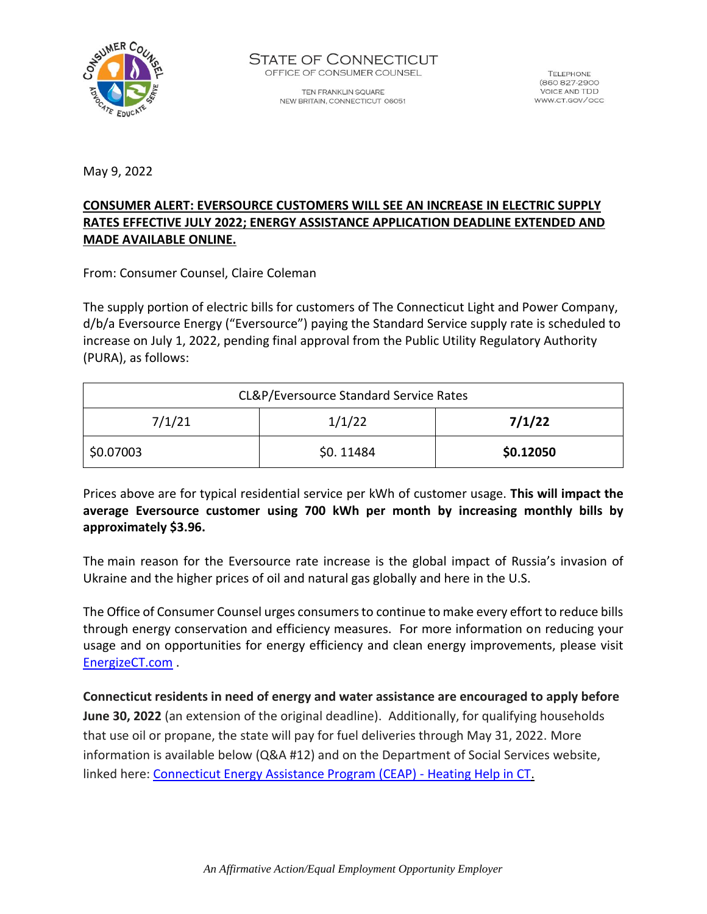

TEN FRANKLIN SQUARE NEW BRITAIN, CONNECTICUT 06051

**TELEPHONE** (860 827-2900 **VOICE AND TDD** WWW.CT.GOV/OCC

May 9, 2022

### **CONSUMER ALERT: EVERSOURCE CUSTOMERS WILL SEE AN INCREASE IN ELECTRIC SUPPLY RATES EFFECTIVE JULY 2022; ENERGY ASSISTANCE APPLICATION DEADLINE EXTENDED AND MADE AVAILABLE ONLINE.**

From: Consumer Counsel, Claire Coleman

The supply portion of electric bills for customers of The Connecticut Light and Power Company, d/b/a Eversource Energy ("Eversource") paying the Standard Service supply rate is scheduled to increase on July 1, 2022, pending final approval from the Public Utility Regulatory Authority (PURA), as follows:

| CL&P/Eversource Standard Service Rates |           |           |
|----------------------------------------|-----------|-----------|
| 7/1/21                                 | 1/1/22    | 7/1/22    |
| \$0.07003                              | \$0.11484 | \$0.12050 |

Prices above are for typical residential service per kWh of customer usage. **This will impact the average Eversource customer using 700 kWh per month by increasing monthly bills by approximately \$3.96.**

The main reason for the Eversource rate increase is the global impact of Russia's invasion of Ukraine and the higher prices of oil and natural gas globally and here in the U.S.

The Office of Consumer Counsel urges consumers to continue to make every effort to reduce bills through energy conservation and efficiency measures. For more information on reducing your usage and on opportunities for energy efficiency and clean energy improvements, please visit [EnergizeCT.com](https://energizect.com/) .

**Connecticut residents in need of energy and water assistance are encouraged to apply before June 30, 2022** (an extension of the original deadline). Additionally, for qualifying households that use oil or propane, the state will pay for fuel deliveries through May 31, 2022. More information is available below (Q&A #12) and on the Department of Social Services website, linked here[: Connecticut Energy Assistance Program \(CEAP\) -](https://portal.ct.gov/heatinghelp/Connecticut-Energy-Assistance-Program-CEAP?language=en_US) Heating Help in CT.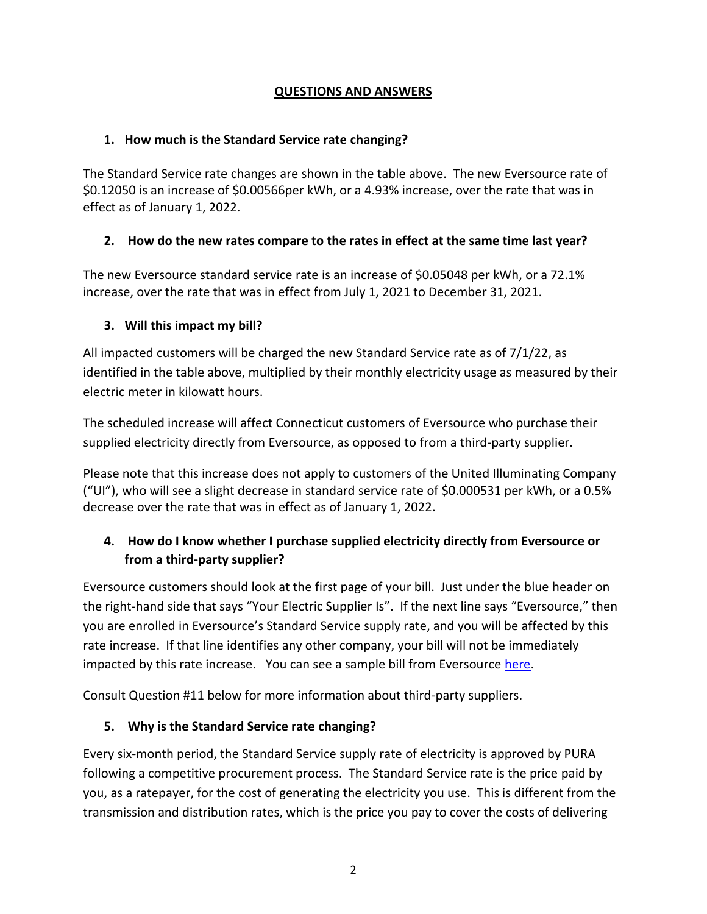### **QUESTIONS AND ANSWERS**

### **1. How much is the Standard Service rate changing?**

The Standard Service rate changes are shown in the table above. The new Eversource rate of \$0.12050 is an increase of \$0.00566per kWh, or a 4.93% increase, over the rate that was in effect as of January 1, 2022.

## **2. How do the new rates compare to the rates in effect at the same time last year?**

The new Eversource standard service rate is an increase of \$0.05048 per kWh, or a 72.1% increase, over the rate that was in effect from July 1, 2021 to December 31, 2021.

### **3. Will this impact my bill?**

All impacted customers will be charged the new Standard Service rate as of 7/1/22, as identified in the table above, multiplied by their monthly electricity usage as measured by their electric meter in kilowatt hours.

The scheduled increase will affect Connecticut customers of Eversource who purchase their supplied electricity directly from Eversource, as opposed to from a third-party supplier.

Please note that this increase does not apply to customers of the United Illuminating Company ("UI"), who will see a slight decrease in standard service rate of \$0.000531 per kWh, or a 0.5% decrease over the rate that was in effect as of January 1, 2022.

# **4. How do I know whether I purchase supplied electricity directly from Eversource or from a third-party supplier?**

Eversource customers should look at the first page of your bill. Just under the blue header on the right-hand side that says "Your Electric Supplier Is". If the next line says "Eversource," then you are enrolled in Eversource's Standard Service supply rate, and you will be affected by this rate increase. If that line identifies any other company, your bill will not be immediately impacted by this rate increase. You can see a sample bill from Eversource [here.](https://www.eversource.com/content/ct-c/residential/my-account/billing-payments/about-your-bill/understanding-my-bill/sample-electric-bill)

Consult Question #11 below for more information about third-party suppliers.

## **5. Why is the Standard Service rate changing?**

Every six-month period, the Standard Service supply rate of electricity is approved by PURA following a competitive procurement process. The Standard Service rate is the price paid by you, as a ratepayer, for the cost of generating the electricity you use. This is different from the transmission and distribution rates, which is the price you pay to cover the costs of delivering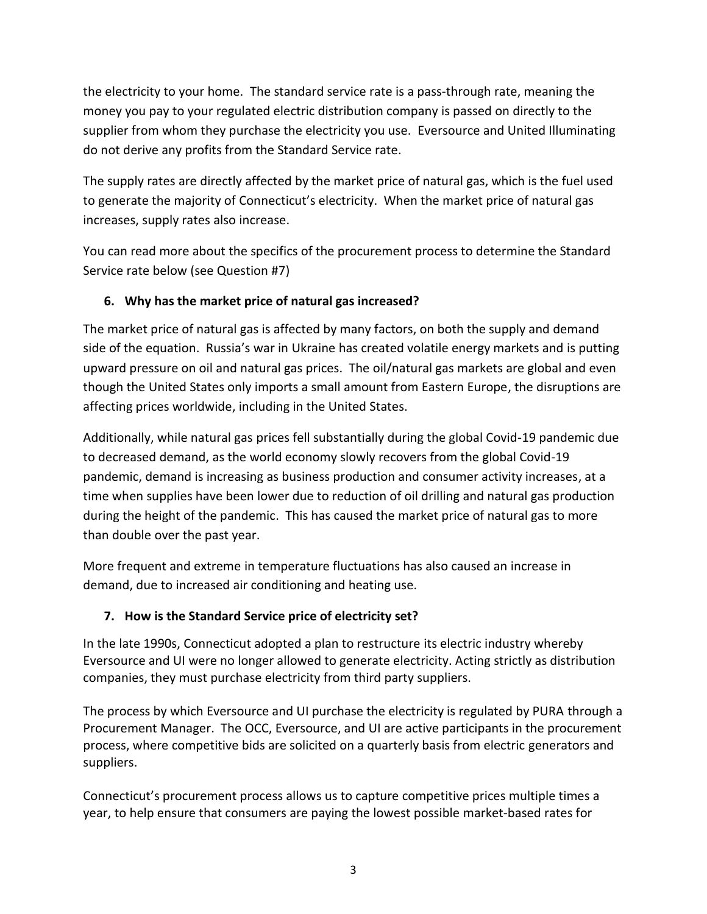the electricity to your home. The standard service rate is a pass-through rate, meaning the money you pay to your regulated electric distribution company is passed on directly to the supplier from whom they purchase the electricity you use. Eversource and United Illuminating do not derive any profits from the Standard Service rate.

The supply rates are directly affected by the market price of natural gas, which is the fuel used to generate the majority of Connecticut's electricity. When the market price of natural gas increases, supply rates also increase.

You can read more about the specifics of the procurement process to determine the Standard Service rate below (see Question #7)

## **6. Why has the market price of natural gas increased?**

The market price of natural gas is affected by many factors, on both the supply and demand side of the equation. Russia's war in Ukraine has created volatile energy markets and is putting upward pressure on oil and natural gas prices. The oil/natural gas markets are global and even though the United States only imports a small amount from Eastern Europe, the disruptions are affecting prices worldwide, including in the United States.

Additionally, while natural gas prices fell substantially during the global Covid-19 pandemic due to decreased demand, as the world economy slowly recovers from the global Covid-19 pandemic, demand is increasing as business production and consumer activity increases, at a time when supplies have been lower due to reduction of oil drilling and natural gas production during the height of the pandemic. This has caused the market price of natural gas to more than double over the past year.

More frequent and extreme in temperature fluctuations has also caused an increase in demand, due to increased air conditioning and heating use.

# **7. How is the Standard Service price of electricity set?**

In the late 1990s, Connecticut adopted a plan to restructure its electric industry whereby Eversource and UI were no longer allowed to generate electricity. Acting strictly as distribution companies, they must purchase electricity from third party suppliers.

The process by which Eversource and UI purchase the electricity is regulated by PURA through a Procurement Manager. The OCC, Eversource, and UI are active participants in the procurement process, where competitive bids are solicited on a quarterly basis from electric generators and suppliers.

Connecticut's procurement process allows us to capture competitive prices multiple times a year, to help ensure that consumers are paying the lowest possible market-based rates for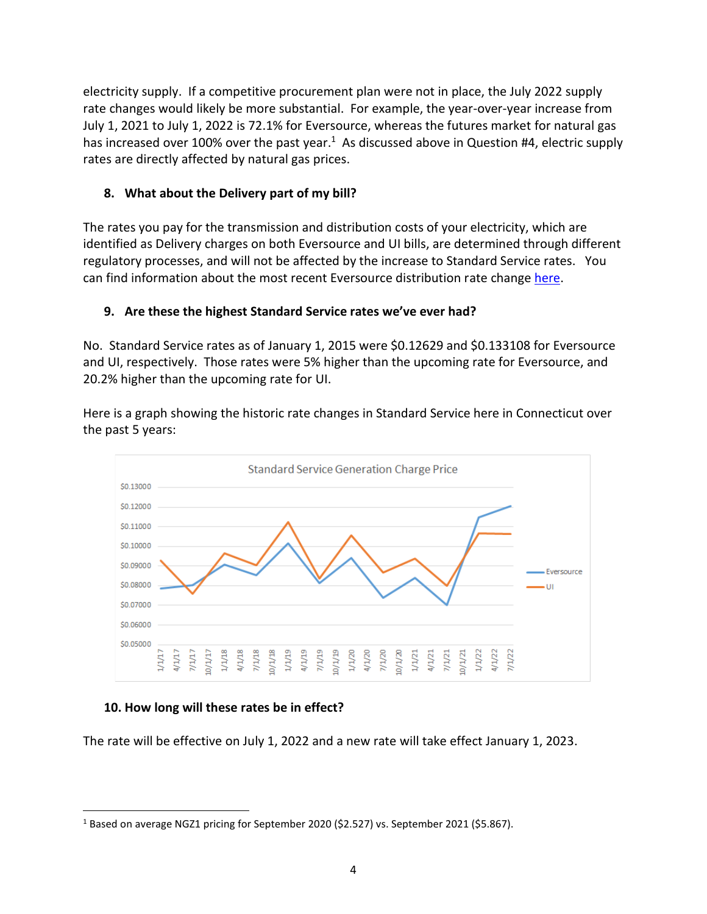electricity supply. If a competitive procurement plan were not in place, the July 2022 supply rate changes would likely be more substantial. For example, the year-over-year increase from July 1, 2021 to July 1, 2022 is 72.1% for Eversource, whereas the futures market for natural gas has increased over 100% over the past year.<sup>1</sup> As discussed above in Question #4, electric supply rates are directly affected by natural gas prices.

### **8. What about the Delivery part of my bill?**

The rates you pay for the transmission and distribution costs of your electricity, which are identified as Delivery charges on both Eversource and UI bills, are determined through different regulatory processes, and will not be affected by the increase to Standard Service rates. You can find information about the most recent Eversource distribution rate change [here.](https://portal.ct.gov/-/media/OCC/2022422-OCC-Consumer-Alert-Eversource-RAM-Final2.pdf)

## **9. Are these the highest Standard Service rates we've ever had?**

No. Standard Service rates as of January 1, 2015 were \$0.12629 and \$0.133108 for Eversource and UI, respectively. Those rates were 5% higher than the upcoming rate for Eversource, and 20.2% higher than the upcoming rate for UI.

Here is a graph showing the historic rate changes in Standard Service here in Connecticut over the past 5 years:



### **10. How long will these rates be in effect?**

The rate will be effective on July 1, 2022 and a new rate will take effect January 1, 2023.

<sup>&</sup>lt;sup>1</sup> Based on average NGZ1 pricing for September 2020 (\$2.527) vs. September 2021 (\$5.867).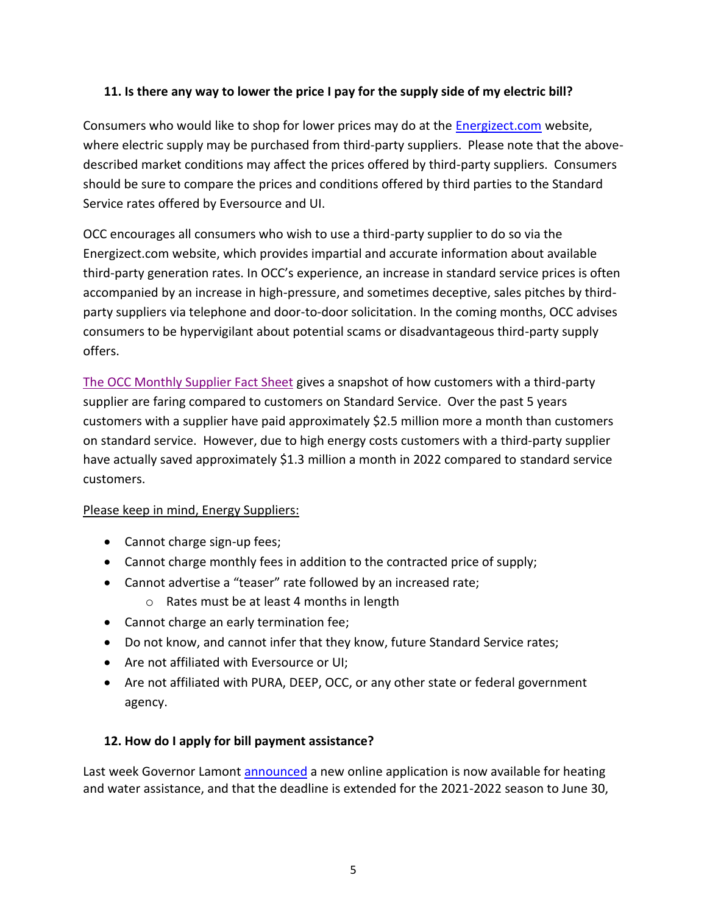### **11. Is there any way to lower the price I pay for the supply side of my electric bill?**

Consumers who would like to shop for lower prices may do at the [Energizect.com](https://energizect.com/) website, where electric supply may be purchased from third-party suppliers. Please note that the abovedescribed market conditions may affect the prices offered by third-party suppliers. Consumers should be sure to compare the prices and conditions offered by third parties to the Standard Service rates offered by Eversource and UI.

OCC encourages all consumers who wish to use a third-party supplier to do so via the Energizect.com website, which provides impartial and accurate information about available third-party generation rates. In OCC's experience, an increase in standard service prices is often accompanied by an increase in high-pressure, and sometimes deceptive, sales pitches by thirdparty suppliers via telephone and door-to-door solicitation. In the coming months, OCC advises consumers to be hypervigilant about potential scams or disadvantageous third-party supply offers.

[The OCC Monthly Supplier Fact Sheet](https://portal.ct.gov/-/media/OCC/Fact-sheet-electric-supplier-market-January-2022.pdf) gives a snapshot of how customers with a third-party supplier are faring compared to customers on Standard Service. Over the past 5 years customers with a supplier have paid approximately \$2.5 million more a month than customers on standard service. However, due to high energy costs customers with a third-party supplier have actually saved approximately \$1.3 million a month in 2022 compared to standard service customers.

## Please keep in mind, Energy Suppliers:

- Cannot charge sign-up fees;
- Cannot charge monthly fees in addition to the contracted price of supply;
- Cannot advertise a "teaser" rate followed by an increased rate;
	- o Rates must be at least 4 months in length
- Cannot charge an early termination fee;
- Do not know, and cannot infer that they know, future Standard Service rates;
- Are not affiliated with Eversource or UI;
- Are not affiliated with PURA, DEEP, OCC, or any other state or federal government agency.

### **12. How do I apply for bill payment assistance?**

Last week Governor Lamont **announced** a new online application is now available for heating and water assistance, and that the deadline is extended for the 2021-2022 season to June 30,